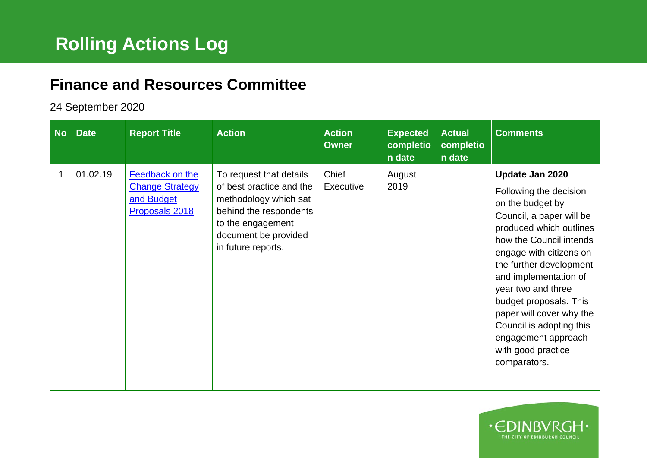## **Finance and Resources Committee**

## 24 September 2020

| <b>No</b> | <b>Date</b> | <b>Report Title</b>                                                       | <b>Action</b>                                                                                                                                                             | <b>Action</b><br><b>Owner</b> | <b>Expected</b><br>completio<br>n date | <b>Actual</b><br>completio<br>n date | <b>Comments</b>                                                                                                                                                                                                                                                                                                                                                                                     |
|-----------|-------------|---------------------------------------------------------------------------|---------------------------------------------------------------------------------------------------------------------------------------------------------------------------|-------------------------------|----------------------------------------|--------------------------------------|-----------------------------------------------------------------------------------------------------------------------------------------------------------------------------------------------------------------------------------------------------------------------------------------------------------------------------------------------------------------------------------------------------|
| 1         | 01.02.19    | Feedback on the<br><b>Change Strategy</b><br>and Budget<br>Proposals 2018 | To request that details<br>of best practice and the<br>methodology which sat<br>behind the respondents<br>to the engagement<br>document be provided<br>in future reports. | Chief<br><b>Executive</b>     | August<br>2019                         |                                      | Update Jan 2020<br>Following the decision<br>on the budget by<br>Council, a paper will be<br>produced which outlines<br>how the Council intends<br>engage with citizens on<br>the further development<br>and implementation of<br>year two and three<br>budget proposals. This<br>paper will cover why the<br>Council is adopting this<br>engagement approach<br>with good practice<br>comparators. |

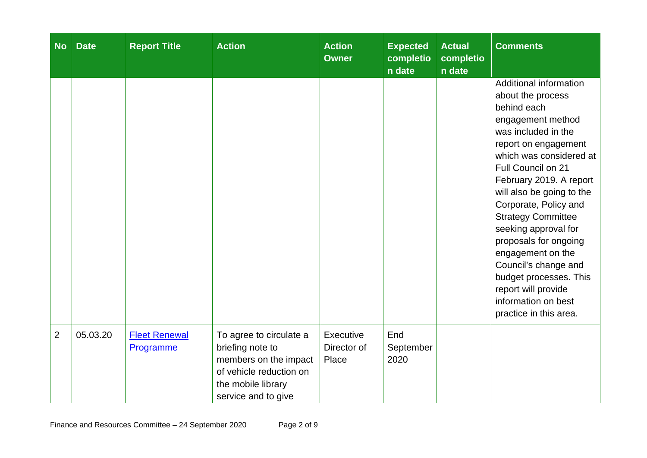| <b>No</b>      | <b>Date</b> | <b>Report Title</b>               | <b>Action</b>                                                                                                                                | <b>Action</b><br><b>Owner</b>     | <b>Expected</b><br>completio<br>n date | <b>Actual</b><br>completio<br>n date | <b>Comments</b>                                                                                                                                                                                                                                                                                                                                                                                                                                                                               |
|----------------|-------------|-----------------------------------|----------------------------------------------------------------------------------------------------------------------------------------------|-----------------------------------|----------------------------------------|--------------------------------------|-----------------------------------------------------------------------------------------------------------------------------------------------------------------------------------------------------------------------------------------------------------------------------------------------------------------------------------------------------------------------------------------------------------------------------------------------------------------------------------------------|
|                |             |                                   |                                                                                                                                              |                                   |                                        |                                      | Additional information<br>about the process<br>behind each<br>engagement method<br>was included in the<br>report on engagement<br>which was considered at<br>Full Council on 21<br>February 2019. A report<br>will also be going to the<br>Corporate, Policy and<br><b>Strategy Committee</b><br>seeking approval for<br>proposals for ongoing<br>engagement on the<br>Council's change and<br>budget processes. This<br>report will provide<br>information on best<br>practice in this area. |
| $\overline{2}$ | 05.03.20    | <b>Fleet Renewal</b><br>Programme | To agree to circulate a<br>briefing note to<br>members on the impact<br>of vehicle reduction on<br>the mobile library<br>service and to give | Executive<br>Director of<br>Place | End<br>September<br>2020               |                                      |                                                                                                                                                                                                                                                                                                                                                                                                                                                                                               |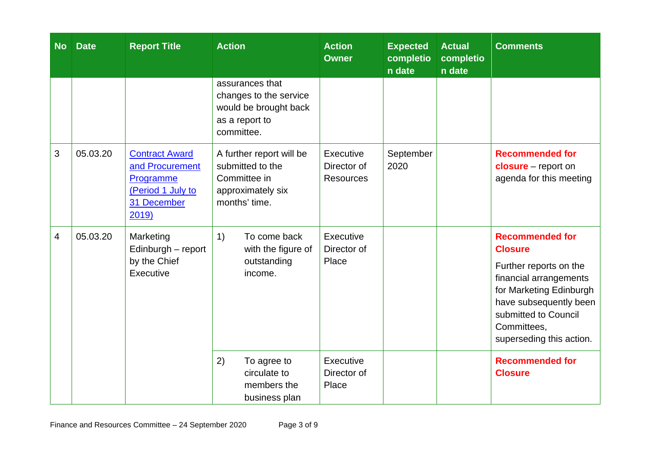| <b>No</b> | <b>Date</b> | <b>Report Title</b>                                                                                | <b>Action</b>                                                                                      | <b>Action</b><br><b>Owner</b>                | <b>Expected</b><br>completio<br>n date | <b>Actual</b><br>completio<br>n date | <b>Comments</b>                                                                                                                                                                                                      |
|-----------|-------------|----------------------------------------------------------------------------------------------------|----------------------------------------------------------------------------------------------------|----------------------------------------------|----------------------------------------|--------------------------------------|----------------------------------------------------------------------------------------------------------------------------------------------------------------------------------------------------------------------|
|           |             |                                                                                                    | assurances that<br>changes to the service<br>would be brought back<br>as a report to<br>committee. |                                              |                                        |                                      |                                                                                                                                                                                                                      |
| 3         | 05.03.20    | <b>Contract Award</b><br>and Procurement<br>Programme<br>(Period 1 July to<br>31 December<br>2019) | A further report will be<br>submitted to the<br>Committee in<br>approximately six<br>months' time. | Executive<br>Director of<br><b>Resources</b> | September<br>2020                      |                                      | <b>Recommended for</b><br>$closure - report on$<br>agenda for this meeting                                                                                                                                           |
| 4         | 05.03.20    | Marketing<br>Edinburgh - report<br>by the Chief<br>Executive                                       | To come back<br>1)<br>with the figure of<br>outstanding<br>income.                                 | Executive<br>Director of<br>Place            |                                        |                                      | <b>Recommended for</b><br><b>Closure</b><br>Further reports on the<br>financial arrangements<br>for Marketing Edinburgh<br>have subsequently been<br>submitted to Council<br>Committees,<br>superseding this action. |
|           |             |                                                                                                    | 2)<br>To agree to<br>circulate to<br>members the<br>business plan                                  | Executive<br>Director of<br>Place            |                                        |                                      | <b>Recommended for</b><br><b>Closure</b>                                                                                                                                                                             |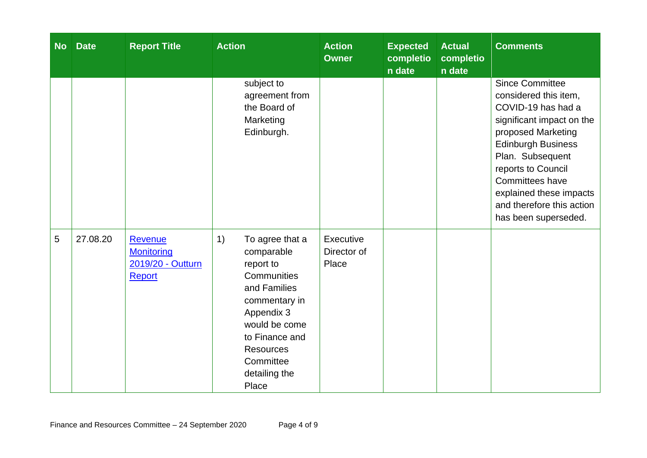| <b>No</b> | <b>Date</b> | <b>Report Title</b>                                         | <b>Action</b>                                                                                                                                                                                                | <b>Action</b><br><b>Owner</b>     | <b>Expected</b><br>completio<br>n date | <b>Actual</b><br>completio<br>n date | <b>Comments</b>                                                                                                                                                                                                                                                                                    |
|-----------|-------------|-------------------------------------------------------------|--------------------------------------------------------------------------------------------------------------------------------------------------------------------------------------------------------------|-----------------------------------|----------------------------------------|--------------------------------------|----------------------------------------------------------------------------------------------------------------------------------------------------------------------------------------------------------------------------------------------------------------------------------------------------|
|           |             |                                                             | subject to<br>agreement from<br>the Board of<br>Marketing<br>Edinburgh.                                                                                                                                      |                                   |                                        |                                      | <b>Since Committee</b><br>considered this item,<br>COVID-19 has had a<br>significant impact on the<br>proposed Marketing<br><b>Edinburgh Business</b><br>Plan. Subsequent<br>reports to Council<br>Committees have<br>explained these impacts<br>and therefore this action<br>has been superseded. |
| 5         | 27.08.20    | Revenue<br><b>Monitoring</b><br>2019/20 - Outturn<br>Report | 1)<br>To agree that a<br>comparable<br>report to<br>Communities<br>and Families<br>commentary in<br>Appendix 3<br>would be come<br>to Finance and<br><b>Resources</b><br>Committee<br>detailing the<br>Place | Executive<br>Director of<br>Place |                                        |                                      |                                                                                                                                                                                                                                                                                                    |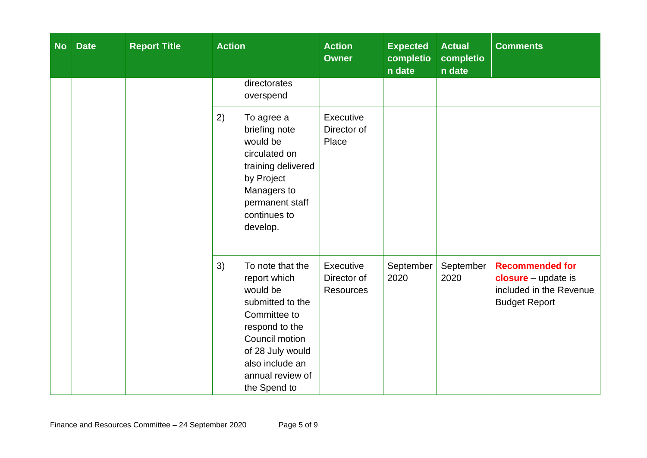| <b>No</b> | <b>Date</b> | <b>Report Title</b> | <b>Action</b>                                                                                                                                                                                         | <b>Action</b><br><b>Owner</b>                | <b>Expected</b><br>completio<br>n date | <b>Actual</b><br>completio<br>n date | <b>Comments</b>                                                                                    |
|-----------|-------------|---------------------|-------------------------------------------------------------------------------------------------------------------------------------------------------------------------------------------------------|----------------------------------------------|----------------------------------------|--------------------------------------|----------------------------------------------------------------------------------------------------|
|           |             |                     | directorates<br>overspend                                                                                                                                                                             |                                              |                                        |                                      |                                                                                                    |
|           |             |                     | 2)<br>To agree a<br>briefing note<br>would be<br>circulated on<br>training delivered<br>by Project<br>Managers to<br>permanent staff<br>continues to<br>develop.                                      | Executive<br>Director of<br>Place            |                                        |                                      |                                                                                                    |
|           |             |                     | 3)<br>To note that the<br>report which<br>would be<br>submitted to the<br>Committee to<br>respond to the<br>Council motion<br>of 28 July would<br>also include an<br>annual review of<br>the Spend to | Executive<br>Director of<br><b>Resources</b> | September<br>2020                      | September<br>2020                    | <b>Recommended for</b><br>$closure - update$ is<br>included in the Revenue<br><b>Budget Report</b> |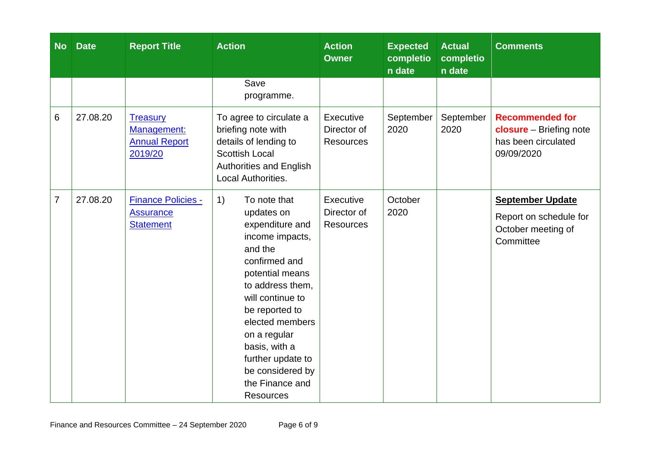| <b>No</b>       | <b>Date</b> | <b>Report Title</b>                                               | <b>Action</b>                                                                                                                                                                                                                                                                                                       | <b>Action</b><br><b>Owner</b>                | <b>Expected</b><br>completio<br>n date | <b>Actual</b><br>completio<br>n date | <b>Comments</b>                                                                               |
|-----------------|-------------|-------------------------------------------------------------------|---------------------------------------------------------------------------------------------------------------------------------------------------------------------------------------------------------------------------------------------------------------------------------------------------------------------|----------------------------------------------|----------------------------------------|--------------------------------------|-----------------------------------------------------------------------------------------------|
|                 |             |                                                                   | Save<br>programme.                                                                                                                                                                                                                                                                                                  |                                              |                                        |                                      |                                                                                               |
| $6\phantom{1}6$ | 27.08.20    | <b>Treasury</b><br>Management:<br><b>Annual Report</b><br>2019/20 | To agree to circulate a<br>briefing note with<br>details of lending to<br><b>Scottish Local</b><br><b>Authorities and English</b><br><b>Local Authorities.</b>                                                                                                                                                      | Executive<br>Director of<br><b>Resources</b> | September<br>2020                      | September<br>2020                    | <b>Recommended for</b><br><b>closure</b> - Briefing note<br>has been circulated<br>09/09/2020 |
| $\overline{7}$  | 27.08.20    | <b>Finance Policies -</b><br><b>Assurance</b><br><b>Statement</b> | To note that<br>1)<br>updates on<br>expenditure and<br>income impacts,<br>and the<br>confirmed and<br>potential means<br>to address them,<br>will continue to<br>be reported to<br>elected members<br>on a regular<br>basis, with a<br>further update to<br>be considered by<br>the Finance and<br><b>Resources</b> | Executive<br>Director of<br><b>Resources</b> | October<br>2020                        |                                      | <b>September Update</b><br>Report on schedule for<br>October meeting of<br>Committee          |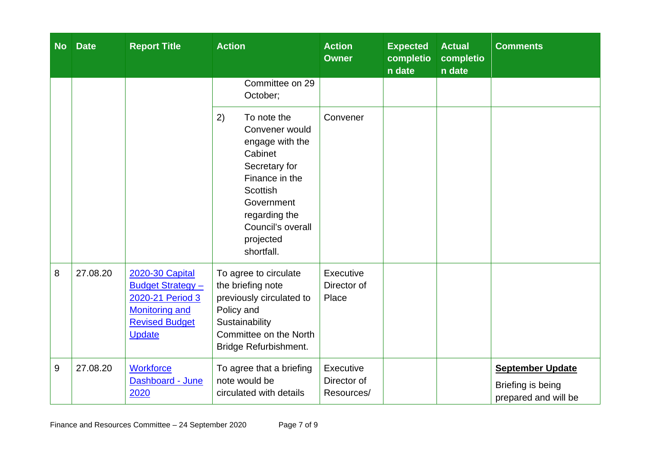| <b>No</b> | <b>Date</b> | <b>Report Title</b>                                                                                                                       | <b>Action</b>                                                                                                                                                                                          | <b>Action</b><br><b>Owner</b>          | <b>Expected</b><br>completio<br>n date | <b>Actual</b><br>completio<br>n date | <b>Comments</b>                                                      |
|-----------|-------------|-------------------------------------------------------------------------------------------------------------------------------------------|--------------------------------------------------------------------------------------------------------------------------------------------------------------------------------------------------------|----------------------------------------|----------------------------------------|--------------------------------------|----------------------------------------------------------------------|
|           |             |                                                                                                                                           | Committee on 29<br>October;                                                                                                                                                                            |                                        |                                        |                                      |                                                                      |
|           |             |                                                                                                                                           | 2)<br>To note the<br>Convener would<br>engage with the<br>Cabinet<br>Secretary for<br>Finance in the<br><b>Scottish</b><br>Government<br>regarding the<br>Council's overall<br>projected<br>shortfall. | Convener                               |                                        |                                      |                                                                      |
| 8         | 27.08.20    | <b>2020-30 Capital</b><br><b>Budget Strategy -</b><br>2020-21 Period 3<br><b>Monitoring and</b><br><b>Revised Budget</b><br><b>Update</b> | To agree to circulate<br>the briefing note<br>previously circulated to<br>Policy and<br>Sustainability<br>Committee on the North<br>Bridge Refurbishment.                                              | Executive<br>Director of<br>Place      |                                        |                                      |                                                                      |
| 9         | 27.08.20    | <b>Workforce</b><br>Dashboard - June<br>2020                                                                                              | To agree that a briefing<br>note would be<br>circulated with details                                                                                                                                   | Executive<br>Director of<br>Resources/ |                                        |                                      | <b>September Update</b><br>Briefing is being<br>prepared and will be |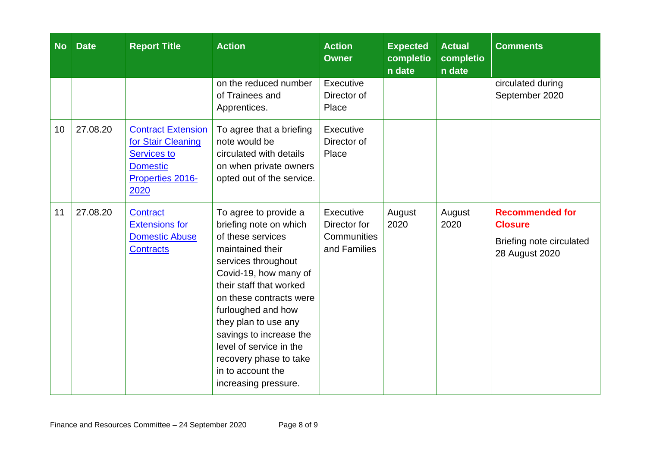| <b>No</b> | <b>Date</b> | <b>Report Title</b>                                                                                           | <b>Action</b>                                                                                                                                                                                                                                                                                                                                                             | <b>Action</b><br><b>Owner</b>                            | <b>Expected</b><br>completio<br>n date | <b>Actual</b><br>completio<br>n date | <b>Comments</b>                                                                        |
|-----------|-------------|---------------------------------------------------------------------------------------------------------------|---------------------------------------------------------------------------------------------------------------------------------------------------------------------------------------------------------------------------------------------------------------------------------------------------------------------------------------------------------------------------|----------------------------------------------------------|----------------------------------------|--------------------------------------|----------------------------------------------------------------------------------------|
|           |             |                                                                                                               | on the reduced number<br>of Trainees and<br>Apprentices.                                                                                                                                                                                                                                                                                                                  | Executive<br>Director of<br>Place                        |                                        |                                      | circulated during<br>September 2020                                                    |
| 10        | 27.08.20    | <b>Contract Extension</b><br>for Stair Cleaning<br>Services to<br><b>Domestic</b><br>Properties 2016-<br>2020 | To agree that a briefing<br>note would be<br>circulated with details<br>on when private owners<br>opted out of the service.                                                                                                                                                                                                                                               | Executive<br>Director of<br>Place                        |                                        |                                      |                                                                                        |
| 11        | 27.08.20    | Contract<br><b>Extensions for</b><br><b>Domestic Abuse</b><br><b>Contracts</b>                                | To agree to provide a<br>briefing note on which<br>of these services<br>maintained their<br>services throughout<br>Covid-19, how many of<br>their staff that worked<br>on these contracts were<br>furloughed and how<br>they plan to use any<br>savings to increase the<br>level of service in the<br>recovery phase to take<br>in to account the<br>increasing pressure. | Executive<br>Director for<br>Communities<br>and Families | August<br>2020                         | August<br>2020                       | <b>Recommended for</b><br><b>Closure</b><br>Briefing note circulated<br>28 August 2020 |